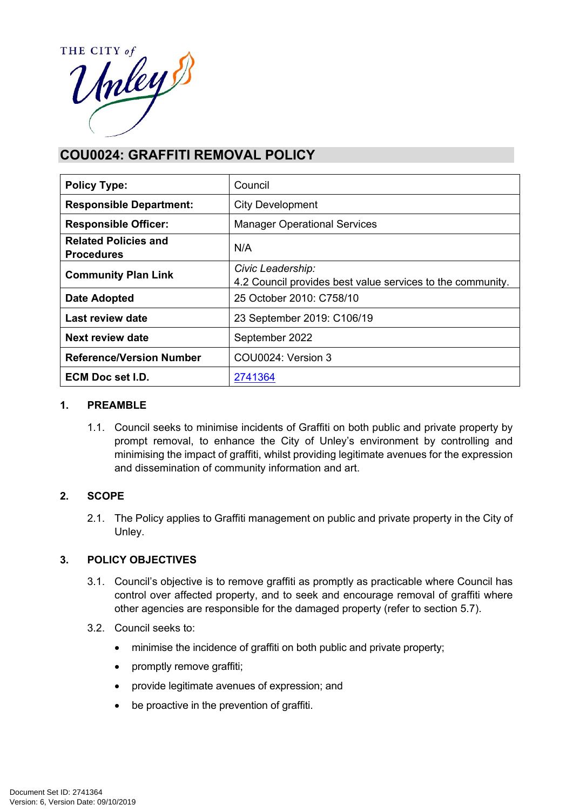

# **COU0024: GRAFFITI REMOVAL POLICY**

| <b>Policy Type:</b>                              | Council                                                                         |  |
|--------------------------------------------------|---------------------------------------------------------------------------------|--|
| <b>Responsible Department:</b>                   | <b>City Development</b>                                                         |  |
| <b>Responsible Officer:</b>                      | <b>Manager Operational Services</b>                                             |  |
| <b>Related Policies and</b><br><b>Procedures</b> | N/A                                                                             |  |
| <b>Community Plan Link</b>                       | Civic Leadership:<br>4.2 Council provides best value services to the community. |  |
| Date Adopted                                     | 25 October 2010: C758/10                                                        |  |
| Last review date                                 | 23 September 2019: C106/19                                                      |  |
| Next review date                                 | September 2022                                                                  |  |
| <b>Reference/Version Number</b>                  | COU0024: Version 3                                                              |  |
| ECM Doc set I.D.                                 | 2741364                                                                         |  |

#### **1. PREAMBLE**

1.1. Council seeks to minimise incidents of Graffiti on both public and private property by prompt removal, to enhance the City of Unley's environment by controlling and minimising the impact of graffiti, whilst providing legitimate avenues for the expression and dissemination of community information and art.

## **2. SCOPE**

2.1. The Policy applies to Graffiti management on public and private property in the City of Unley.

## **3. POLICY OBJECTIVES**

- 3.1. Council's objective is to remove graffiti as promptly as practicable where Council has control over affected property, and to seek and encourage removal of graffiti where other agencies are responsible for the damaged property (refer to section 5.7).
- 3.2. Council seeks to:
	- minimise the incidence of graffiti on both public and private property;
	- promptly remove graffiti;
	- provide legitimate avenues of expression; and
	- be proactive in the prevention of graffiti.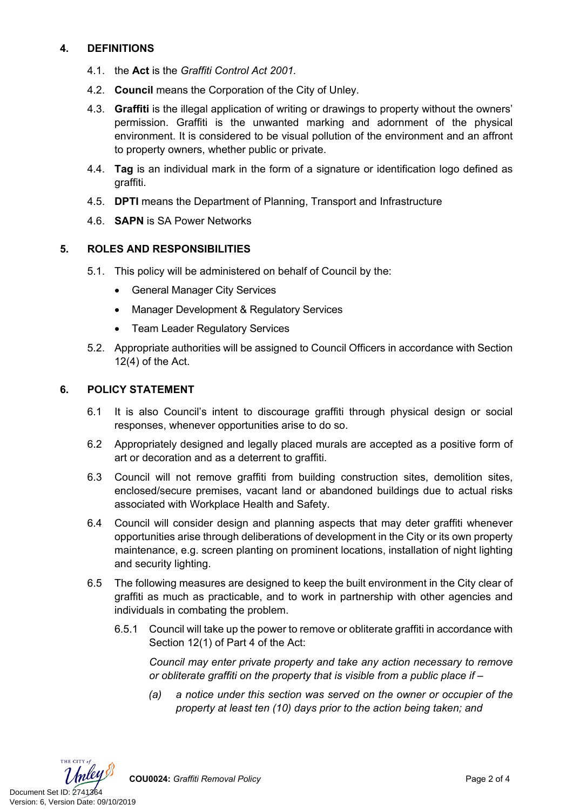# **4. DEFINITIONS**

- 4.1. the **Act** is the *Graffiti Control Act 2001.*
- 4.2. **Council** means the Corporation of the City of Unley.
- 4.3. **Graffiti** is the illegal application of writing or drawings to property without the owners' permission. Graffiti is the unwanted marking and adornment of the physical environment. It is considered to be visual pollution of the environment and an affront to property owners, whether public or private.
- 4.4. **Tag** is an individual mark in the form of a signature or identification logo defined as graffiti.
- 4.5. **DPTI** means the Department of Planning, Transport and Infrastructure
- 4.6. **SAPN** is SA Power Networks

#### **5. ROLES AND RESPONSIBILITIES**

- 5.1. This policy will be administered on behalf of Council by the:
	- General Manager City Services
	- Manager Development & Regulatory Services
	- Team Leader Regulatory Services
- 5.2. Appropriate authorities will be assigned to Council Officers in accordance with Section 12(4) of the Act.

#### **6. POLICY STATEMENT**

- 6.1 It is also Council's intent to discourage graffiti through physical design or social responses, whenever opportunities arise to do so.
- 6.2 Appropriately designed and legally placed murals are accepted as a positive form of art or decoration and as a deterrent to graffiti.
- 6.3 Council will not remove graffiti from building construction sites, demolition sites, enclosed/secure premises, vacant land or abandoned buildings due to actual risks associated with Workplace Health and Safety.
- 6.4 Council will consider design and planning aspects that may deter graffiti whenever opportunities arise through deliberations of development in the City or its own property maintenance, e.g. screen planting on prominent locations, installation of night lighting and security lighting.
- 6.5 The following measures are designed to keep the built environment in the City clear of graffiti as much as practicable, and to work in partnership with other agencies and individuals in combating the problem.
	- 6.5.1 Council will take up the power to remove or obliterate graffiti in accordance with Section 12(1) of Part 4 of the Act:

*Council may enter private property and take any action necessary to remove or obliterate graffiti on the property that is visible from a public place if –*

*(a) a notice under this section was served on the owner or occupier of the property at least ten (10) days prior to the action being taken; and*



**COU0024:** *Graffiti Removal Policy* Page 2 of 4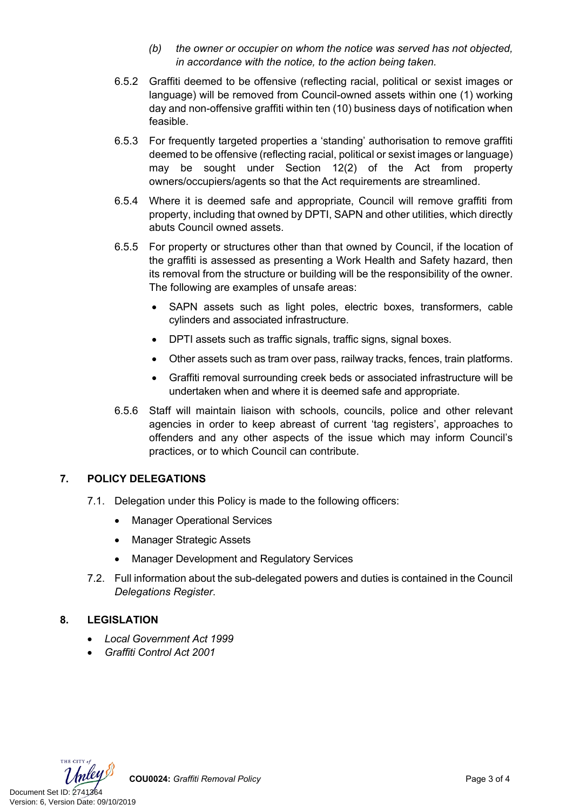- *(b) the owner or occupier on whom the notice was served has not objected, in accordance with the notice, to the action being taken.*
- 6.5.2 Graffiti deemed to be offensive (reflecting racial, political or sexist images or language) will be removed from Council-owned assets within one (1) working day and non-offensive graffiti within ten (10) business days of notification when feasible.
- 6.5.3 For frequently targeted properties a 'standing' authorisation to remove graffiti deemed to be offensive (reflecting racial, political or sexist images or language) may be sought under Section 12(2) of the Act from property owners/occupiers/agents so that the Act requirements are streamlined.
- 6.5.4 Where it is deemed safe and appropriate, Council will remove graffiti from property, including that owned by DPTI, SAPN and other utilities, which directly abuts Council owned assets.
- 6.5.5 For property or structures other than that owned by Council, if the location of the graffiti is assessed as presenting a Work Health and Safety hazard, then its removal from the structure or building will be the responsibility of the owner. The following are examples of unsafe areas:
	- SAPN assets such as light poles, electric boxes, transformers, cable cylinders and associated infrastructure.
	- DPTI assets such as traffic signals, traffic signs, signal boxes.
	- Other assets such as tram over pass, railway tracks, fences, train platforms.
	- Graffiti removal surrounding creek beds or associated infrastructure will be undertaken when and where it is deemed safe and appropriate.
- 6.5.6 Staff will maintain liaison with schools, councils, police and other relevant agencies in order to keep abreast of current 'tag registers', approaches to offenders and any other aspects of the issue which may inform Council's practices, or to which Council can contribute.

# **7. POLICY DELEGATIONS**

- 7.1. Delegation under this Policy is made to the following officers:
	- Manager Operational Services
	- Manager Strategic Assets
	- Manager Development and Regulatory Services
- 7.2. Full information about the sub-delegated powers and duties is contained in the Council *Delegations Register*.

# **8. LEGISLATION**

- *Local Government Act 1999*
- *Graffiti Control Act 2001*



**COU0024:** *Graffiti Removal Policy* Page 3 of 4